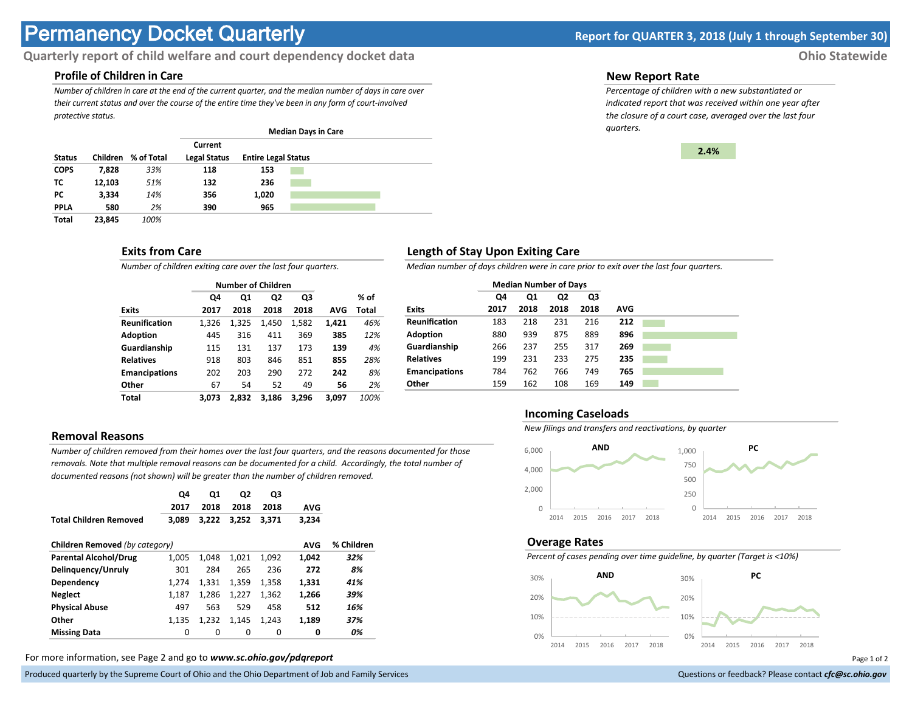# **Permanency Docket Quarterly Report for QUARTER 3, 2018 (July 1 through September 30)**

# **Quarterly report of child welfare and court dependency docket data Ohio Statewide**

# **Profile of Children in Care**

*Number of children in care at the end of the current quarter, and the median number of days in care over their current status and over the course of the entire time they've been in any form of court-involved protective status.*

|               |          |            | <b>Median Days in Care</b>     |                            |  |  |  |  |
|---------------|----------|------------|--------------------------------|----------------------------|--|--|--|--|
| <b>Status</b> | Children | % of Total | Current<br><b>Legal Status</b> | <b>Entire Legal Status</b> |  |  |  |  |
| <b>COPS</b>   | 7,828    | 33%        | 118                            | 153                        |  |  |  |  |
| тс            | 12.103   | 51%        | 132                            | 236                        |  |  |  |  |
| PC.           | 3.334    | 14%        | 356                            | 1,020                      |  |  |  |  |
| <b>PPLA</b>   | 580      | 2%         | 390                            | 965                        |  |  |  |  |
| <b>Total</b>  | 23.845   | 100%       |                                |                            |  |  |  |  |

## **Exits from Care**

*Number of children exiting care over the last four quarters.*

|                      |       | <b>Number of Children</b> |                |       |       |       |
|----------------------|-------|---------------------------|----------------|-------|-------|-------|
|                      | Q4    | Q1                        | Q <sub>2</sub> | Q3    |       | % of  |
| <b>Exits</b>         | 2017  | 2018                      | 2018           | 2018  | AVG   | Total |
| <b>Reunification</b> | 1.326 | 1.325                     | 1.450          | 1,582 | 1.421 | 46%   |
| <b>Adoption</b>      | 445   | 316                       | 411            | 369   | 385   | 12%   |
| Guardianship         | 115   | 131                       | 137            | 173   | 139   | 4%    |
| <b>Relatives</b>     | 918   | 803                       | 846            | 851   | 855   | 28%   |
| <b>Emancipations</b> | 202   | 203                       | 290            | 272   | 242   | 8%    |
| Other                | 67    | 54                        | 52             | 49    | 56    | 2%    |
| Total                | 3.073 | 2,832                     | 3.186          | 3.296 | 3.097 | 100%  |

# **Removal Reasons**

*Number of children removed from their homes over the last four quarters, and the reasons documented for those removals. Note that multiple removal reasons can be documented for a child. Accordingly, the total number of documented reasons (not shown) will be greater than the number of children removed.* 

|                                              | Q4<br>2017 | Q1<br>2018 | Q2<br>2018 | Q3<br>2018 | <b>AVG</b> |            |
|----------------------------------------------|------------|------------|------------|------------|------------|------------|
| <b>Total Children Removed</b>                | 3.089      | 3.222      | 3.252      | 3.371      | 3,234      |            |
| Children Removed (by category)<br><b>AVG</b> |            |            |            |            |            | % Children |
| <b>Parental Alcohol/Drug</b>                 | 1,005      | 1.048      | 1,021      | 1.092      | 1,042      | 32%        |
| Delinguency/Unruly                           | 301        | 284        | 265        | 236        | 272        | 8%         |
| Dependency                                   | 1.274      | 1.331      | 1.359      | 1,358      | 1.331      | 41%        |
| <b>Neglect</b>                               | 1,187      | 1.286      | 1,227      | 1,362      | 1,266      | 39%        |
| <b>Physical Abuse</b>                        | 497        | 563        | 529        | 458        | 512        | 16%        |
| Other                                        | 1.135      | 1.232      | 1.145      | 1.243      | 1,189      | 37%        |
| <b>Missing Data</b>                          | 0          | $\Omega$   | 0          | 0          | 0          | 0%         |

For more information, see Page 2 and go to *www.sc.ohio.gov/pdqreport* Page 1 of 2

Produced quarterly by the Supreme Court of Ohio and the Ohio Department of Job and Family Services **Department** of *Services* Court of Ohio and the Ohio Department of Job and Family Services **Communist Court of Court of Co** 

#### **New Report Rate**

*Percentage of children with a new substantiated or indicated report that was received within one year after the closure of a court case, averaged over the last four quarters.*



## **Length of Stay Upon Exiting Care**

*Median number of days children were in care prior to exit over the last four quarters.*

|                      | <b>Median Number of Days</b> |      |      |      |     |  |
|----------------------|------------------------------|------|------|------|-----|--|
|                      | Q4                           | Q1   | Q2   | Q3   |     |  |
| <b>Exits</b>         | 2017                         | 2018 | 2018 | 2018 | AVG |  |
| <b>Reunification</b> | 183                          | 218  | 231  | 216  | 212 |  |
| <b>Adoption</b>      | 880                          | 939  | 875  | 889  | 896 |  |
| Guardianship         | 266                          | 237  | 255  | 317  | 269 |  |
| <b>Relatives</b>     | 199                          | 231  | 233  | 275  | 235 |  |
| <b>Emancipations</b> | 784                          | 762  | 766  | 749  | 765 |  |
| Other                | 159                          | 162  | 108  | 169  | 149 |  |

#### **Incoming Caseloads**

*New filings and transfers and reactivations, by quarter*



#### **Overage Rates**

*Percent of cases pending over time guideline, by quarter (Target is <10%)*